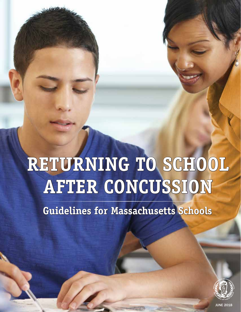# **RETURNING TO SCHOOL AFTER CONCUSSION**

**Guidelines for Massachusetts Schools**



**UINE 2018**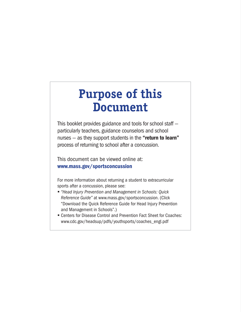## **Purpose of this Document**

This booklet provides guidance and tools for school staff particularly teachers, guidance counselors and school nurses  $-$  as they support students in the "return to learn" process of returning to school after a concussion.

This document can be viewed online at: www.mass.gov/sportsconcussion

For more information about returning a student to extracurricular sports after a concussion, please see:

- § *"Head Injury Prevention and Management in Schools: Quick Reference Guide"* at www.mass.gov/sportsconcussion. (Click "Download the Quick Reference Guide for Head Injury Prevention and Management in Schools".)
- Centers for Disease Control and Prevention Fact Sheet for Coaches: www.cdc.gov/headsup/pdfs/youthsports/coaches\_engl.pdf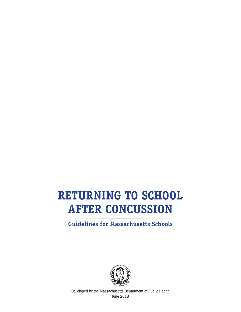## **RETURNING TO SCHOOL AFTER CONCUSSION**

#### **Guidelines for Massachusetts Schools**



Developed by the Massachusetts Department of Public Health June 2018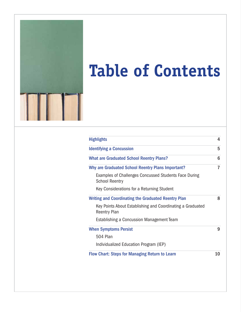

# **Table of Contents**

| 4              |
|----------------|
| 5              |
| 6              |
| $\overline{7}$ |
|                |
|                |
| 8              |
|                |
|                |
| 9              |
|                |
|                |
|                |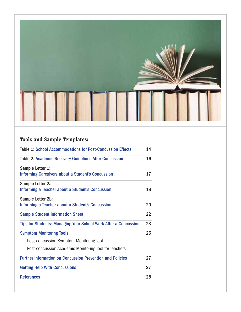

### **Tools and Sample Templates:**

| <b>Table 1: School Accommodations for Post-Concussion Effects</b>      | 14 |
|------------------------------------------------------------------------|----|
| <b>Table 2: Academic Recovery Guidelines After Concussion</b>          | 16 |
| Sample Letter 1:                                                       |    |
| Informing Caregivers about a Student's Concussion                      | 17 |
| Sample Letter 2a:                                                      |    |
| Informing a Teacher about a Student's Concussion                       | 18 |
| Sample Letter 2b:                                                      |    |
| Informing a Teacher about a Student's Concussion                       | 20 |
| <b>Sample Student Information Sheet</b>                                | 22 |
| <b>Tips for Students: Managing Your School Work After a Concussion</b> | 23 |
| <b>Symptom Monitoring Tools</b>                                        | 25 |
| Post-concussion Symptom Monitoring Tool                                |    |
| Post-concussion Academic Monitoring Tool for Teachers                  |    |
| <b>Further Information on Concussion Prevention and Policies</b>       | 27 |
| <b>Getting Help With Concussions</b>                                   | 27 |
| <b>References</b>                                                      | 28 |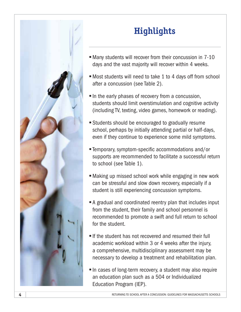

## **Highlights**

- Many students will recover from their concussion in 7-10 days and the vast majority will recover within 4 weeks.
- Most students will need to take 1 to 4 days off from school after a concussion (see Table 2).
- In the early phases of recovery from a concussion, students should limit overstimulation and cognitive activity (including TV, texting, video games, homework or reading).
- § Students should be encouraged to gradually resume school, perhaps by initially attending partial or half-days, even if they continue to experience some mild symptoms.
- § Temporary, symptom-specific accommodations and/or supports are recommended to facilitate a successful return to school (see Table 1).
- Making up missed school work while engaging in new work can be stressful and slow down recovery, especially if a student is still experiencing concussion symptoms.
- A gradual and coordinated reentry plan that includes input from the student, their family and school personnel is recommended to promote a swift and full return to school for the student.
- **If the student has not recovered and resumed their full** academic workload within 3 or 4 weeks after the injury, a comprehensive, multidisciplinary assessment may be necessary to develop a treatment and rehabilitation plan.
- In cases of long-term recovery, a student may also require an education plan such as a 504 or Individualized Education Program (IEP).

**4** RETURNING TO SCHOOL AFTER A CONCUSSION: GUIDELINES FOR MASSACHUSETTS SCHOOLS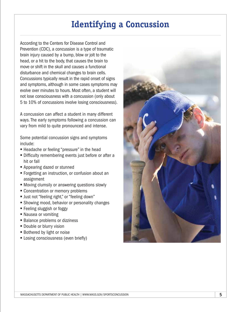### **Identifying a Concussion**

According to the Centers for Disease Control and Prevention (CDC), a concussion is a type of traumatic brain injury caused by a bump, blow or jolt to the head, or a hit to the body, that causes the brain to move or shift in the skull and causes a functional disturbance and chemical changes to brain cells. Concussions typically result in the rapid onset of signs and symptoms, although in some cases symptoms may evolve over minutes to hours. Most often, a student will not lose consciousness with a concussion (only about 5 to 10% of concussions involve losing consciousness).

A concussion can affect a student in many different ways. The early symptoms following a concussion can vary from mild to quite pronounced and intense.

Some potential concussion signs and symptoms include:

- Headache or feeling "pressure" in the head
- Difficulty remembering events just before or after a hit or fall
- § Appearing dazed or stunned
- Forgetting an instruction, or confusion about an assignment
- Moving clumsily or answering questions slowly
- Concentration or memory problems
- Just not "feeling right," or "feeling down"
- Showing mood, behavior or personality changes
- Feeling sluggish or foggy
- § Nausea or vomiting
- Balance problems or dizziness
- Double or blurry vision
- Bothered by light or noise
- Losing consciousness (even briefly)

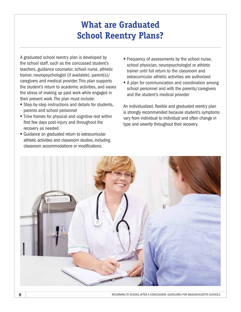### **What are Graduated School Reentry Plans?**

A graduated school reentry plan is developed by the school staff, such as the concussed student's teachers, guidance counselor, school nurse, athletic trainer, neuropsychologist (if available), parent(s)/ caregivers and medical provider. This plan supports the student's return to academic activities, and eases the stress of making up past work while engaged in their present work. The plan must include:

- Step-by-step instructions and details for students, parents and school personnel
- Time frames for physical and cognitive rest within first few days post-injury and throughout the recovery as needed
- Guidance on graduated return to extracurricular athletic activities and classroom studies, including classroom accommodations or modifications
- Frequency of assessments by the school nurse, school physician, neuropsychologist or athletic trainer until full return to the classroom and extracurricular athletic activities are authorized
- A plan for communication and coordination among school personnel and with the parents/caregivers and the student's medical provider

An individualized, flexible and graduated reentry plan is strongly recommended because student's symptoms vary from individual to individual and often change in type and severity throughout their recovery.

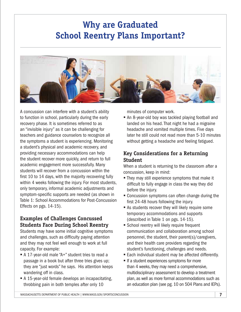### **Why are Graduated School Reentry Plans Important?**



A concussion can interfere with a student's ability to function in school, particularly during the early recovery phase. It is sometimes referred to as an "invisible injury" as it can be challenging for teachers and guidance counselors to recognize all the symptoms a student is experiencing. Monitoring a student's physical and academic recovery, and providing necessary accommodations can help the student recover more quickly, and return to full academic engagement more successfully. Many students will recover from a concussion within the first 10 to 14 days, with the majority recovering fully within 4 weeks following the injury. For most students, only temporary, informal academic adjustments and symptom-specific supports are needed (as shown in Table 1: School Accommodations for Post-Concussion Effects on pgs. 14-15).

#### **Examples of Challenges Concussed Students Face During School Reentry**

Students may have some initial cognitive symptoms and challenges, such as difficulty paying attention and they may not feel well enough to work at full capacity. For example:

- A 17-year-old male "A+" student tries to read a passage in a book but after three tries gives up; they are "just words" he says. His attention keeps wandering off in class.
- A 15-year-old female develops an incapacitating, throbbing pain in both temples after only 10

minutes of computer work.

■ An 8-year-old boy was tackled playing football and landed on his head. That night he had a migraine headache and vomited multiple times. Five days later he still could not read more than 5-10 minutes without getting a headache and feeling fatigued.

#### **Key Considerations for a Returning Student**

When a student is returning to the classroom after a concussion, keep in mind:

- They may still experience symptoms that make it difficult to fully engage in class the way they did before the injury.
- Concussion symptoms can often change during the first 24-48 hours following the injury.
- As students recover they will likely require some temporary accommodations and supports (described in Table 1 on pgs. 14-15).
- **School reentry will likely require frequent** communication and collaboration among school personnel, the student, their parent(s)/caregivers, and their health care providers regarding the student's functioning, challenges and needs.
- Each individual student may be affected differently.
- If a student experiences symptoms for more than 4 weeks, they may need a comprehensive, multidisciplinary assessment to develop a treatment plan, as well as more formal accommodations such as an education plan (see pg. 10 on 504 Plans and IEPs).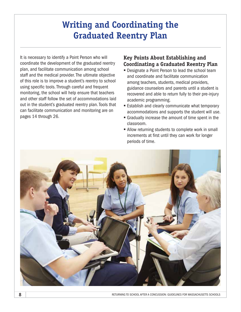### **Writing and Coordinating the Graduated Reentry Plan**

It is necessary to identify a Point Person who will coordinate the development of the graduated reentry plan, and facilitate communication among school staff and the medical provider. The ultimate objective of this role is to improve a student's reentry to school using specific tools. Through careful and frequent monitoring, the school will help ensure that teachers and other staff follow the set of accommodations laid out in the student's graduated reentry plan. Tools that can facilitate communication and monitoring are on pages 14 through 26.

#### **Key Points About Establishing and Coordinating a Graduated Reentry Plan**

- Designate a Point Person to lead the school team and coordinate and facilitate communication among teachers, students, medical providers, guidance counselors and parents until a student is recovered and able to return fully to their pre-injury academic programming.
- **Establish and clearly communicate what temporary** accommodations and supports the student will use.
- § Gradually increase the amount of time spent in the classroom.
- Allow returning students to complete work in small increments at first until they can work for longer periods of time.

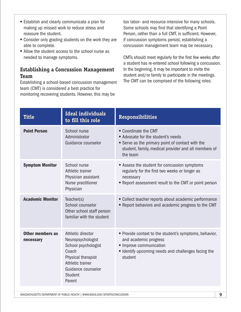- Establish and clearly communicate a plan for making up missed work to reduce stress and reassure the student.
- Consider only grading students on the work they are able to complete.
- Allow the student access to the school nurse as needed to manage symptoms.

#### **Establishing a Concussion Management Team**

Establishing a school-based concussion management team (CMT) is considered a best practice for monitoring recovering students. However, this may be

too labor- and resource-intensive for many schools. Some schools may find that identifying a Point Person, rather than a full CMT, is sufficient. However, if concussion symptoms persist, establishing a concussion management team may be necessary.

CMTs should meet regularly for the first few weeks after a student has re-entered school following a concussion. In the beginning, it may be important to invite the student and/or family to participate in the meetings. The CMT can be comprised of the following roles:

| <b>Title</b>                  | <b>Ideal individuals</b><br>to fill this role                                                                                                               | <b>Responsibilities</b>                                                                                                                                                        |  |
|-------------------------------|-------------------------------------------------------------------------------------------------------------------------------------------------------------|--------------------------------------------------------------------------------------------------------------------------------------------------------------------------------|--|
| <b>Point Person</b>           | School nurse<br>Administrator<br>Guidance counselor                                                                                                         | " Coordinate the CMT<br>Advocate for the student's needs<br>Serve as the primary point of contact with the<br>student, family, medical provider and all members of<br>the team |  |
| <b>Symptom Monitor</b>        | School nurse<br>Athletic trainer<br>Physician assistant<br>Nurse practitioner<br>Physician                                                                  | Assess the student for concussion symptoms<br>regularly for the first two weeks or longer as<br>necessary<br>■ Report assessment result to the CMT or point person             |  |
| <b>Academic Monitor</b>       | Teacher(s)<br>School counselor<br>Other school staff person<br>familiar with the student                                                                    | • Collect teacher reports about academic performance<br>Report behaviors and academic progress to the CMT                                                                      |  |
| Other members as<br>necessary | Athletic director<br>Neuropsychologist<br>School psychologist<br>Coach<br>Physical therapist<br>Athletic trainer<br>Guidance counselor<br>Student<br>Parent | • Provide context to the student's symptoms, behavior,<br>and academic progress<br>Improve communication<br>• Identify upcoming needs and challenges facing the<br>student     |  |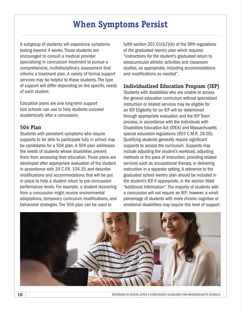### **When Symptoms Persist**

A subgroup of students will experience symptoms lasting beyond 4 weeks. Those students are encouraged to consult a medical provider specializing in concussion treatment to pursue a comprehensive, multidisciplinary assessment that informs a treatment plan. A variety of formal support services may be helpful to those students. The type of support will differ depending on the specific needs of each student.

Education plans are one long-term support tool schools can use to help students succeed academically after a concussion.

#### **504 Plan**

Students with persistent symptoms who require supports to be able to participate fully in school may be candidates for a 504 plan. A 504 plan addresses the needs of students whose disabilities prevent them from accessing their education. Those plans are developed after appropriate evaluation of the student in accordance with 34 C.F.R. 104.35 and describe modifications and accommodations that will be put in place to help a student return to pre-concussion performance levels. For example, a student recovering from a concussion might receive environmental adaptations, temporary curriculum modifications, and behavioral strategies. The 504 plan can be used to

fulfill section 201.010(2)(b) of the DPH regulations of the graduated reentry plan which requires "instructions for the student's graduated return to extracurricular athletic activities and classroom studies, as appropriate, including accommodations and modifications as needed".

#### **Individualized Education Program (IEP)**

Students with disabilities who are unable to access the general education curriculum without specialized instruction or related services may be eligible for an IEP. Eligibility for an IEP will be determined through appropriate evaluation and the IEP Team process, in accordance with the Individuals with Disabilities Education Act (IDEA) and Massachusetts special education regulations (603 C.M.R. 28.00). Qualifying students generally require significant supports to access the curriculum. Supports may include adjusting the student's workload, adjusting methods or the pace of instruction, providing related services such as occupational therapy, or delivering instruction in a separate setting. A reference to the graduated school reentry plan should be included in the student's IEP, if appropriate, in the section titled "Additional Information". The majority of students with a concussion will not require an IEP; however, a small percentage of students with more chronic cognitive or emotional disabilities may require this level of support.



**10 RETURNING TO SCHOOL AFTER A CONCUSSION: GUIDELINES FOR MASSACHUSETTS SCHOOLS**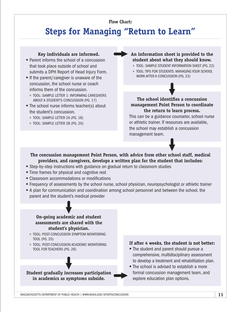#### **Flow Chart:**

### **Steps for Managing "Return to Learn"**

#### **Key individuals are informed.**

- Parent informs the school of a concussion that took place outside of school and submits a DPH Report of Head Injury Form.
- If the parent/caregiver is unaware of the concussion, the school nurse or coach informs them of the concussion.
	- » TOOL: SAMPLE LETTER 1: INFORMING CAREGIVERS ABOUT A STUDENT'S CONCUSSION (PG. 17)
- The school nurse informs teacher(s) about the student's concussion.
	- » TOOL: SAMPLE LETTER 2A (PG. 18)
	- » TOOL: SAMPLE LETTER 2B (PG. 20)

#### **An information sheet is provided to the student about what they should know.**

- » TOOL: SAMPLE STUDENT INFORMATION SHEET (PG. 22)
- » TOOL: TIPS FOR STUDENTS: MANAGING YOUR SCHOOL WORK AFTER A CONCUSSION (PG. 23)

#### **The school identifies a concussion management Point Person to coordinate the return to learn process.**

This can be a guidance counselor, school nurse or athletic trainer. If resources are available, the school may establish a concussion management team.

#### **The concussion management Point Person, with advice from other school staff, medical providers, and caregivers, develops a written plan for the student that includes:**

- Step-by-step instructions with guidance on gradual return to classroom studies
- Time frames for physical and cognitive rest
- Classroom accommodations or modifications
- § Frequency of assessments by the school nurse, school physician, neuropsychologist or athletic trainer
- **•** A plan for communication and coordination among school personnel and between the school, the parent and the student's medical provider

#### **On-going academic and student assessments are shared with the student's physician.**

- » TOOL: POST-CONCUSSION SYMPTOM MONITORING TOOL (PG. 25)
- » TOOL: POST-CONCUSSION ACADEMIC MONITORING TOOL FOR TEACHERS (PG. 26)

#### **Student gradually increases participation in academics as symptoms subside.**

#### **If after 4 weeks, the student is not better:**

- § The student and parent should pursue a comprehensive, multidisciplinary assessment to develop a treatment and rehabilitation plan.
- The school is advised to establish a more formal concussion management team, and explore education plan options.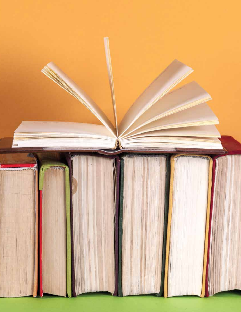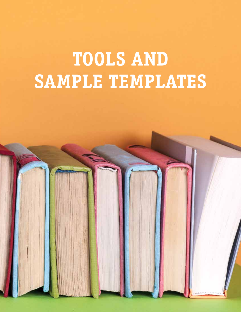# **TOOLS AND SAMPLE TEMPLATES**

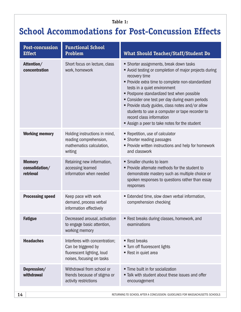#### **Table 1:**

### **School Accommodations for Post-Concussion Effects**

| Post-concussion<br><b>Effect</b>             | <b>Functional School</b><br>Problem                                                                              | What Should Teacher/Staff/Student Do                                                                                                                                                                                                                                                                                                                                                                                                                                                    |  |
|----------------------------------------------|------------------------------------------------------------------------------------------------------------------|-----------------------------------------------------------------------------------------------------------------------------------------------------------------------------------------------------------------------------------------------------------------------------------------------------------------------------------------------------------------------------------------------------------------------------------------------------------------------------------------|--|
| Attention/<br>concentration                  | Short focus on lecture, class<br>work, homework                                                                  | • Shorter assignments, break down tasks<br>Avoid testing or completion of major projects during<br>recovery time<br>• Provide extra time to complete non-standardized<br>tests in a quiet environment<br>• Postpone standardized test when possible<br>" Consider one test per day during exam periods<br>• Provide study guides, class notes and/or allow<br>students to use a computer or tape recorder to<br>record class information<br>Assign a peer to take notes for the student |  |
| <b>Working memory</b>                        | Holding instructions in mind,<br>reading comprehension,<br>mathematics calculation,<br>writing                   | Repetition, use of calculator<br>• Shorter reading passages<br>Provide written instructions and help for homework<br>and classwork                                                                                                                                                                                                                                                                                                                                                      |  |
| <b>Memory</b><br>consolidation/<br>retrieval | Retaining new information,<br>accessing learned<br>information when needed                                       | • Smaller chunks to learn<br>• Provide alternate methods for the student to<br>demonstrate mastery such as multiple choice or<br>spoken responses to questions rather than essay<br>responses                                                                                                                                                                                                                                                                                           |  |
| <b>Processing speed</b>                      | Keep pace with work<br>demand, process verbal<br>information effectively                                         | Extended time, slow down verbal information,<br>comprehension checking                                                                                                                                                                                                                                                                                                                                                                                                                  |  |
| <b>Fatigue</b>                               | Decreased arousal, activation<br>to engage basic attention,<br>working memory                                    | Rest breaks during classes, homework, and<br>examinations                                                                                                                                                                                                                                                                                                                                                                                                                               |  |
| <b>Headaches</b>                             | Interferes with concentration;<br>Can be triggered by<br>fluorescent lighting, loud<br>noises, focusing on tasks | Rest breaks<br>" Turn off fluorescent lights<br>Rest in quiet area                                                                                                                                                                                                                                                                                                                                                                                                                      |  |
| Depression/<br>withdrawal                    | Withdrawal from school or<br>friends because of stigma or<br>activity restrictions                               | " Time built in for socialization<br>■ Talk with student about these issues and offer<br>encouragement                                                                                                                                                                                                                                                                                                                                                                                  |  |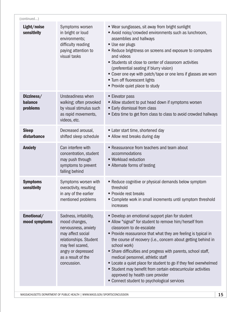| (continued)                       |                                                                                                                                                                                               |                                                                                                                                                                                                                                                                                                                                                                                                                                                                                                                                                                                                                      |  |
|-----------------------------------|-----------------------------------------------------------------------------------------------------------------------------------------------------------------------------------------------|----------------------------------------------------------------------------------------------------------------------------------------------------------------------------------------------------------------------------------------------------------------------------------------------------------------------------------------------------------------------------------------------------------------------------------------------------------------------------------------------------------------------------------------------------------------------------------------------------------------------|--|
| Light/noise<br>sensitivity        | Symptoms worsen<br>in bright or loud<br>environments;<br>difficulty reading<br>paying attention to<br>visual tasks                                                                            | ■ Wear sunglasses, sit away from bright sunlight<br>Avoid noisy/crowded environments such as lunchroom,<br>assemblies and hallways<br>■ Use ear plugs<br>Reduce brightness on screens and exposure to computers<br>and videos<br>Students sit close to center of classroom activities<br>(preferential seating if blurry vision)<br>" Cover one eye with patch/tape or one lens if glasses are worn<br>" Turn off fluorescent lights<br>• Provide quiet place to study                                                                                                                                               |  |
| Dizziness/<br>balance<br>problems | Unsteadiness when<br>walking; often provoked<br>by visual stimulus such<br>as rapid movements,<br>videos, etc.                                                                                | ■ Elevator pass<br>Allow student to put head down if symptoms worsen<br>■ Early dismissal from class<br>Extra time to get from class to class to avoid crowded hallways                                                                                                                                                                                                                                                                                                                                                                                                                                              |  |
| <b>Sleep</b><br>disturbance       | Decreased arousal,<br>shifted sleep schedule                                                                                                                                                  | Later start time, shortened day<br>• Allow rest breaks during day                                                                                                                                                                                                                                                                                                                                                                                                                                                                                                                                                    |  |
| <b>Anxiety</b>                    | Can interfere with<br>concentration, student<br>may push through<br>symptoms to prevent<br>falling behind                                                                                     | Reassurance from teachers and team about<br>accommodations<br>■ Workload reduction<br>■ Alternate forms of testing                                                                                                                                                                                                                                                                                                                                                                                                                                                                                                   |  |
| <b>Symptoms</b><br>sensitivity    | Symptoms worsen with<br>overactivity, resulting<br>in any of the earlier<br>mentioned problems                                                                                                | ■ Reduce cognitive or physical demands below symptom<br>threshold<br>• Provide rest breaks<br>" Complete work in small increments until symptom threshold<br>increases                                                                                                                                                                                                                                                                                                                                                                                                                                               |  |
| Emotional/<br>mood symptoms       | Sadness, irritability,<br>mood changes,<br>nervousness, anxiety<br>may affect social<br>relationships. Student<br>may feel scared,<br>angry or depressed<br>as a result of the<br>concussion. | • Develop an emotional support plan for student<br>Allow "signal" for student to remove him/herself from<br>classroom to de-escalate<br>• Provide reassurance that what they are feeling is typical in<br>the course of recovery (i.e., concern about getting behind in<br>school work)<br>• Share difficulties and progress with parents, school staff,<br>medical personnel, athletic staff<br>• Locate a quiet place for student to go if they feel overwhelmed<br>Student may benefit from certain extracurricular activities<br>approved by health care provider<br>• Connect student to psychological services |  |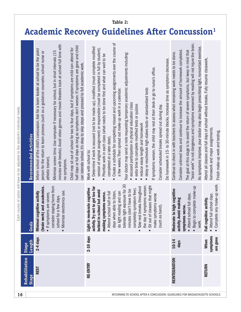### **Academic Recovery Guidelines After Concussion1**

**Table 2:**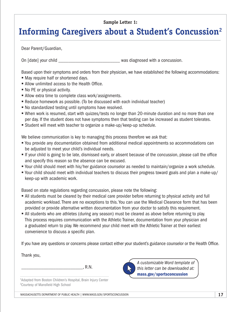#### **Sample Letter 1:**

### **Informing Caregivers about a Student's Concussion2**

Dear Parent/Guardian,

On [date] your child \_\_\_\_\_\_\_\_\_\_\_\_\_\_\_\_\_\_\_\_\_\_\_\_\_ was diagnosed with a concussion.

Based upon their symptoms and orders from their physician, we have established the following accommodations:

- May require half or shortened days.
- Allow unlimited access to the Health Office.
- No PE or physical activity.
- Allow extra time to complete class work/assignments.
- Reduce homework as possible. (To be discussed with each individual teacher)
- No standardized testing until symptoms have resolved.
- § When work is resumed, start with quizzes/tests no longer than 20-minute duration and no more than one per day. If the student does not have symptoms then that testing can be increased as student tolerates.
- Student will meet with teacher to organize a make-up/keep-up schedule.

We believe communication is key to managing this process therefore we ask that:

- You provide any documentation obtained from additional medical appointments so accommodations can be adjusted to meet your child's individual needs.
- § If your child is going to be late, dismissed early, or absent because of the concussion, please call the office and specify this reason so the absence can be excused.
- § Your child should meet with his/her guidance counselor as needed to maintain/organize a work schedule.
- § Your child should meet with individual teachers to discuss their progress toward goals and plan a make-up/ keep-up with academic work.

Based on state regulations regarding concussion, please note the following:

- § All students must be cleared by their medical care provider before returning to physical activity and full academic workload. There are no exceptions to this. You can use the Medical Clearance form that has been provided or provide alternative written documentation from your doctor to satisfy this requirement.
- **•** All students who are athletes (during any season) must be cleared as above before returning to play. This process requires communication with the Athletic Trainer, documentation from your physician and a graduated return to play. We recommend your child meet with the Athletic Trainer at their earliest convenience to discuss a specific plan.

If you have any questions or concerns please contact either your student's guidance counselor or the Health Office.

Thank you,

 $R.R.N.$ 



*A customizable Word template of this letter can be downloaded at:*  mass.gov/sportsconcussion

<sup>1</sup>Adapted from Boston Children's Hospital, Brain Injury Center <sup>2</sup>Courtesy of Mansfield High School

MASSACHUSETTS DEPARTMENT OF PUBLIC HEALTH | WWW.MASS.GOV/SPORTSCONCUSSION **17**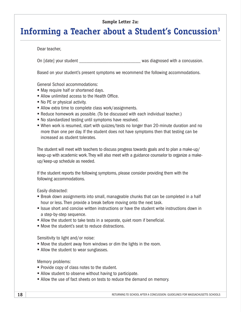#### **Sample Letter 2a:**

### **Informing a Teacher about a Student's Concussion3**

Dear teacher,

On [date] your student the state of the state of the state was diagnosed with a concussion.

Based on your student's present symptoms we recommend the following accommodations.

General School accommodations:

- May require half or shortened days.
- Allow unlimited access to the Health Office.
- No PE or physical activity.
- Allow extra time to complete class work/assignments.
- Reduce homework as possible. (To be discussed with each individual teacher.)
- No standardized testing until symptoms have resolved.
- § When work is resumed, start with quizzes/tests no longer than 20-minute duration and no more than one per day. If the student does not have symptoms then that testing can be increased as student tolerates.

The student will meet with teachers to discuss progress towards goals and to plan a make-up/ keep-up with academic work. They will also meet with a guidance counselor to organize a makeup/keep-up schedule as needed.

If the student reports the following symptoms, please consider providing them with the following accommodations.

Easily distracted:

- Break down assignments into small, manageable chunks that can be completed in a half hour or less. Then provide a break before moving onto the next task.
- § Issue short and concise written instructions or have the student write instructions down in a step-by-step sequence.
- Allow the student to take tests in a separate, quiet room if beneficial.
- Move the student's seat to reduce distractions.

Sensitivity to light and/or noise:

- § Move the student away from windows or dim the lights in the room.
- Allow the student to wear sunglasses.

#### Memory problems:

- Provide copy of class notes to the student.
- Allow student to observe without having to participate.
- Allow the use of fact sheets on tests to reduce the demand on memory.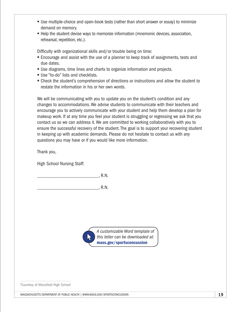- § Use multiple-choice and open-book tests (rather than short answer or essay) to minimize demand on memory.
- **Help the student devise ways to memorize information (mnemonic devices, association,** rehearsal, repetition, etc.).

Difficulty with organizational skills and/or trouble being on time:

- § Encourage and assist with the use of a planner to keep track of assignments, tests and due dates.
- Use diagrams, time lines and charts to organize information and projects.
- Use "to-do" lists and checklists.
- § Check the student's comprehension of directions or instructions and allow the student to restate the information in his or her own words.

We will be communicating with you to update you on the student's condition and any changes to accommodations. We advise students to communicate with their teachers and encourage you to actively communicate with your student and help them develop a plan for makeup work. If at any time you feel your student is struggling or regressing we ask that you contact us so we can address it. We are committed to working collaboratively with you to ensure the successful recovery of the student. The goal is to support your recovering student in keeping up with academic demands. Please do not hesitate to contact us with any questions you may have or if you would like more information.

Thank you,

High School Nursing Staff:

 $R.N.$ 

 $R.N.$ 



<sup>3</sup>Courtesy of Mansfield High School

MASSACHUSETTS DEPARTMENT OF PUBLIC HEALTH | WWW.MASS.GOV/SPORTSCONCUSSION **19**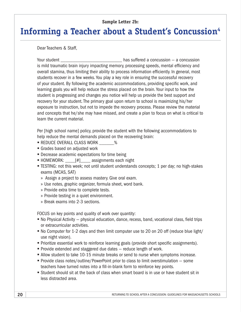#### **Sample Letter 2b:**

### **Informing a Teacher about a Student's Concussion4**

Dear Teachers & Staff,

Your student The Local concussion and the suffered a concussion — a concussion of the state of the state of the state of the state of the state of the state of the state of the state of the state of the state of the state is mild traumatic brain injury impacting memory, processing speeds, mental efficiency and overall stamina, thus limiting their ability to process information efficiently. In general, most students recover in a few weeks. You play a key role in ensuring the successful recovery of your student. By following the academic accommodations, providing specific work, and learning goals you will help reduce the stress placed on the brain. Your input to how the student is progressing and changes you notice will help us provide the best support and recovery for your student. The primary goal upon return to school is maximizing his/her exposure to instruction, but not to impede the recovery process. Please review the material and concepts that he/she may have missed, and create a plan to focus on what is critical to learn the current material.

Per [high school name] policy, provide the student with the following accommodations to help reduce the mental demands placed on the recovering brain:

- § REDUCE OVERALL CLASS WORK \_\_\_\_\_\_%
- Grades based on adjusted work
- Decrease academic expectations for time being
- HOMEWORK: \_\_\_\_\_[#]\_\_\_\_\_ assignments each night
- § TESTING: not this week; not until student understands concepts; 1 per day; no high-stakes exams (MCAS, SAT)
	- » Assign a project to assess mastery. Give oral exam.
	- » Use notes, graphic organizer, formula sheet, word bank.
	- » Provide extra time to complete tests.
	- » Provide testing in a quiet environment.
	- » Break exams into 2-3 sections.

FOCUS on key points and quality of work over quantity:

- $\blacksquare$  No Physical Activity  $-$  physical education, dance, recess, band, vocational class, field trips or extracurricular activities.
- § No Computer for 1-2 days and then limit computer use to 20 on 20 off (reduce blue light/ use night vision).
- Prioritize essential work to reinforce learning goals (provide short specific assignments).
- Provide extended and staggered due dates reduce length of work.
- **•** Allow student to take 10-15 minute breaks or send to nurse when symptoms increase.
- § Provide class notes/outline/PowerPoint prior to class to limit overstimulation some teachers have turned notes into a fill-in-blank form to reinforce key points.
- § Student should sit at the back of class when smart board is in use or have student sit in less distracted area.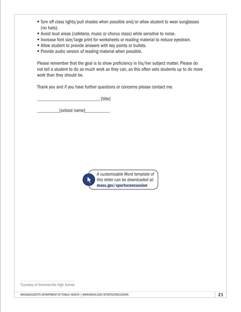- Turn off class lights/pull shades when possible and/or allow student to wear sunglasses (no hats).
- § Avoid loud areas (cafeteria, music or chorus class) while sensitive to noise.
- Increase font size/large print for worksheets or reading material to reduce eyestrain.
- Allow student to provide answers with key points or bullets.
- § Provide audio version of reading material when possible.

Please remember that the goal is to show proficiency in his/her subject matter. Please do not tell a student to do as much work as they can, as this often sets students up to do more work than they should be.

Thank you and if you have further questions or concerns please contact me.

\_\_\_\_\_\_\_\_\_\_\_\_\_\_\_\_\_\_\_\_\_\_\_\_\_, [title]

\_\_\_\_\_\_\_\_\_[school name]\_\_\_\_\_\_\_\_\_\_



4 Courtesy of Sommerville High School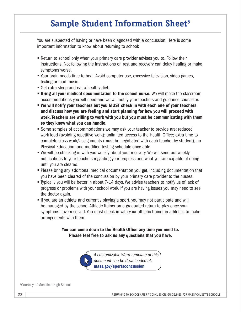### **Sample Student Information Sheet<sup>5</sup>**

You are suspected of having or have been diagnosed with a concussion. Here is some important information to know about returning to school:

- **Return to school only when your primary care provider advises you to. Follow their** instructions. Not following the instructions on rest and recovery can delay healing or make symptoms worse.
- § Your brain needs time to heal. Avoid computer use, excessive television, video games, texting or loud music.
- Get extra sleep and eat a healthy diet.
- **Example 3 Bring all your medical documentation to the school nurse.** We will make the classroom accommodations you will need and we will notify your teachers and guidance counselor.
- § We will notify your teachers but you MUST check in with each one of your teachers and discuss how you are feeling and start planning for how you will proceed with work. Teachers are willing to work with you but you must be communicating with them so they know what you can handle.
- § Some samples of accommodations we may ask your teacher to provide are: reduced work load (avoiding repetitive work); unlimited access to the Health Office; extra time to complete class work/assignments (must be negotiated with each teacher by student); no Physical Education; and modified testing schedule once able.
- We will be checking in with you weekly about your recovery. We will send out weekly notifications to your teachers regarding your progress and what you are capable of doing until you are cleared.
- § Please bring any additional medical documentation you get, including documentation that you have been cleared of the concussion by your primary care provider to the nurses.
- § Typically you will be better in about 7-14 days. We advise teachers to notify us of lack of progress or problems with your school work. If you are having issues you may need to see the doctor again.
- § If you are an athlete and currently playing a sport, you may not participate and will be managed by the school Athletic Trainer on a graduated return to play once your symptoms have resolved. You must check in with your athletic trainer in athletics to make arrangements with them.

#### You can come down to the Health Office any time you need to. Please feel free to ask us any questions that you have.

*A customizable Word template of this document can be downloaded at:*  mass.gov/sportsconcussion

5 Courtesy of Mansfield High School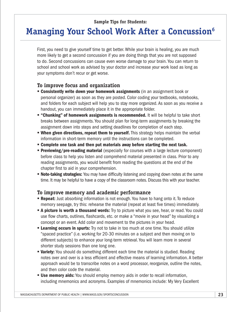#### **Sample Tips for Students:**

### **Managing Your School Work After a Concussion6**

First, you need to give yourself time to get better. While your brain is healing, you are much more likely to get a second concussion if you are doing things that you are not supposed to do. Second concussions can cause even worse damage to your brain. You can return to school and school work as advised by your doctor and increase your work load as long as your symptoms don't recur or get worse.

#### **To improve focus and organization**

- **Consistently write down your homework assignments** (in an assignment book or personal organizer) as soon as they are posted. Color coding your textbooks, notebooks, and folders for each subject will help you to stay more organized. As soon as you receive a handout, you can immediately place it in the appropriate folder.
- **"Chunking" of homework assignments is recommended.** It will be helpful to take short breaks between assignments. You should plan for long-term assignments by breaking the assignment down into steps and setting deadlines for completion of each step.
- **When given directions, repeat them to yourself.** This strategy helps maintain the verbal information in short-term memory until the instructions can be completed.
- § Complete one task and then put materials away before starting the next task.
- **Previewing/pre-reading material** (especially for courses with a large lecture component) before class to help you listen and comprehend material presented in class. Prior to any reading assignments, you would benefit from reading the questions at the end of the chapter first to aid in your comprehension.
- **Note-taking strategies:** You may have difficulty listening and copying down notes at the same time. It may be helpful to have a copy of the classroom notes. Discuss this with your teacher.

#### **To improve memory and academic performance**

- **Repeat:** Just absorbing information is not enough. You have to hang onto it. To reduce memory seepage, try this: rehearse the material (repeat at least five times) immediately.
- **Example 15 a 2 A picture is worth a thousand words:** Try to picture what you see, hear, or read. You could use flow charts, outlines, flashcards, etc. or make a "movie in your head" by visualizing a concept or an event. Add color and movement to the pictures in your head.
- **Examing occurs in spurts:** Try not to take in too much at one time. You should utilize "spaced practice" (i.e. working for 20-30 minutes on a subject and then moving on to different subjects) to enhance your long-term retrieval. You will learn more in several shorter study sessions than one long one.
- **Variety:** You should do something different each time the material is studied. Reading notes over and over is a less efficient and effective means of learning information. A better approach would be to transcribe notes on a word processor, reorganize, outline the notes, and then color code the material.
- **Use memory aids:** You should employ memory aids in order to recall information, including mnemonics and acronyms. Examples of mnemonics include: My Very Excellent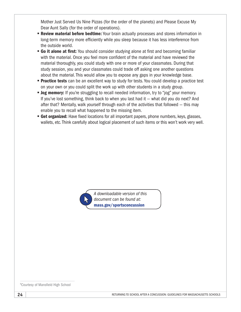Mother Just Served Us Nine Pizzas (for the order of the planets) and Please Excuse My Dear Aunt Sally (for the order of operations).

- **Review material before bedtime:** Your brain actually processes and stores information in long-term memory more efficiently while you sleep because it has less interference from the outside world.
- **Go it alone at first:** You should consider studying alone at first and becoming familiar with the material. Once you feel more confident of the material and have reviewed the material thoroughly, you could study with one or more of your classmates. During that study session, you and your classmates could trade off asking one another questions about the material. This would allow you to expose any gaps in your knowledge base.
- **Practice tests** can be an excellent way to study for tests. You could develop a practice test on your own or you could split the work up with other students in a study group.
- **Jog memory:** If you're struggling to recall needed information, try to "jog" your memory. If you've lost something, think back to when you last had it — what did you do next? And after that? Mentally, walk yourself through each of the activities that followed — this may enable you to recall what happened to the missing item.
- **Get organized:** Have fixed locations for all important papers, phone numbers, keys, glasses, wallets, etc. Think carefully about logical placement of such items or this won't work very well.

*A downloadable version of this document can be found at:*  mass.gov/sportsconcussion

6 Courtesy of Mansfield High School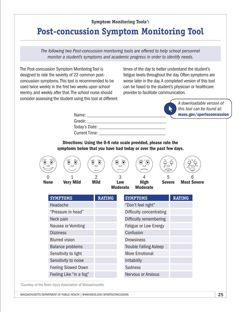### Symptom Monitoring Tools<sup>7</sup>: **Post-concussion Symptom Monitoring Tool**

*The following two Post-concussion monitoring tools are offered to help school personnel monitor a student's symptoms and academic progress in order to identify needs.*

The Post-concussion Symptom Monitoring Tool is designed to rate the severity of 22 common postconcussion symptoms. This tool is recommended to be used twice weekly in the first two weeks upon school reentry, and weekly after that. The school nurse should consider assessing the student using this tool at different

times of the day to better understand the student's fatigue levels throughout the day. Often symptoms are worse later in the day. A completed version of this tool can be faxed to the student's physician or healthcare provider to facilitate communication.

| Name:                | this tool can be found at:<br>mass.gov/sportsconcussion |
|----------------------|---------------------------------------------------------|
| Grade:               |                                                         |
| Today's Date:        |                                                         |
| <b>Current Time:</b> |                                                         |

Directions: Using the 0-6 rate scale provided, please rate the symptoms below that you have had today or over the past few days.

| <b>None</b>                                | <b>Very Mild</b>         | <b>Mild</b>                                 | Low | <b>High</b>              | <b>Severe</b>                     | <b>Most Seve</b> |
|--------------------------------------------|--------------------------|---------------------------------------------|-----|--------------------------|-----------------------------------|------------------|
|                                            |                          |                                             |     |                          |                                   |                  |
| $\widehat{\bullet}$<br>$\widehat{\bullet}$ | $\widehat{\bullet}$<br>ê | $\widehat{\bullet}$<br>$\widehat{\epsilon}$ |     | $\overline{\phantom{0}}$ | $\backsim$<br>$\simeq$<br>宝<br>∕∞ | '≫               |

Moderate

| <b>High</b>     |
|-----------------|
| <b>Moderate</b> |

*A downloadable version of* 

Most Severe

| <b>SYMPTOMS</b>            | <b>RATING</b> | <b>SYMPTOMS</b>               | <b>RATING</b> |
|----------------------------|---------------|-------------------------------|---------------|
| Headache                   |               | "Don't feel right"            |               |
| "Pressure in head"         |               | Difficulty concentrating      |               |
| Neck pain                  |               | Difficulty remembering        |               |
| Nausea or Vomiting         |               | Fatigue or Low Energy         |               |
| <b>Dizziness</b>           |               | Confusion                     |               |
| <b>Blurred vision</b>      |               | <b>Drowsiness</b>             |               |
| <b>Balance problems</b>    |               | <b>Trouble Falling Asleep</b> |               |
| Sensitivity to light       |               | <b>More Emotional</b>         |               |
| Sensitivity to noise       |               | Irritability                  |               |
| <b>Feeling Slowed Down</b> |               | <b>Sadness</b>                |               |
| Feeling Like "in a fog"    |               | <b>Nervous or Anxious</b>     |               |

<sup>7</sup> Courtesy of the Brain Injury Association of Massachusetts

MASSACHUSETTS DEPARTMENT OF PUBLIC HEALTH | WWW.MASS.GOV/SPORTSCONCUSSION **25**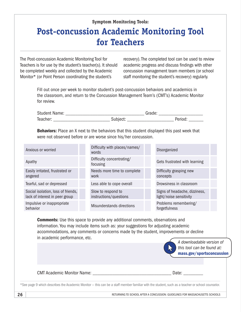### **Symptom Monitoring Tools: Post-concussion Academic Monitoring Tool for Teachers**

The Post-concussion Academic Monitoring Tool for Teachers is for use by the student's teacher(s). It should be completed weekly and collected by the Academic Monitor\* (or Point Person coordinating the student's

recovery). The completed tool can be used to review academic progress and discuss findings with other concussion management team members (or school staff monitoring the student's recovery) regularly.

Fill out once per week to monitor student's post-concussion behaviors and academics in the classroom, and return to the Concussion Management Team's (CMT's) Academic Monitor for review.

| <b>Student</b><br>. Name: | $'$ rodo |          |
|---------------------------|----------|----------|
| Teacher:                  |          | navia at |

Behaviors: Place an X next to the behaviors that this student displayed this past week that were not observed before or are worse since his/her concussion.

| Anxious or worried                                                   | Difficulty with places/names/<br>words       | Disorganized                                             |
|----------------------------------------------------------------------|----------------------------------------------|----------------------------------------------------------|
| Apathy                                                               | Difficulty concentrating/<br>focusing        | Gets frustrated with learning                            |
| Easily irritated, frustrated or<br>angered                           | Needs more time to complete<br>work          | Difficulty grasping new<br>concepts                      |
| Tearful, sad or depressed                                            | Less able to cope overall                    | Drowsiness in classroom                                  |
| Social isolation, loss of friends,<br>lack of interest in peer group | Slow to respond to<br>instructions/questions | Signs of headache, dizziness,<br>light/noise sensitivity |
| Impulsive or inappropriate<br>behavior                               | Misunderstands directions                    | Problems remembering/<br>forgetfulness                   |

**Comments:** Use this space to provide any additional comments, observations and information. You may include items such as: your suggestions for adjusting academic accommodations, any comments or concerns made by the student, improvements or decline in academic performance, etc.

|                                                                                                                                                 | A downloadable version of<br>this tool can be found at:<br>mass.gov/sportsconcussion |
|-------------------------------------------------------------------------------------------------------------------------------------------------|--------------------------------------------------------------------------------------|
| CMT Academic Monitor Name: ____________                                                                                                         | Date:                                                                                |
| *See page 9 which describes the Academic Monitor - this can be a staff member familiar with the student, such as a teacher or school counselor. |                                                                                      |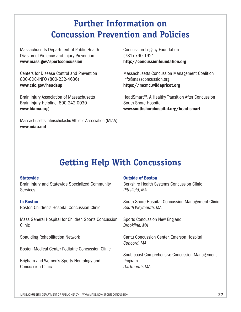### **Further Information on Concussion Prevention and Policies**

Massachusetts Department of Public Health Division of Violence and Injury Prevention www.mass.gov/sportsconcussion

Centers for Disease Control and Prevention 800-CDC-INFO (800-232-4636) www.cdc.gov/headsup

Brain Injury Association of Massachusetts Brain Injury Helpline: 800-242-0030 www.biama.org

Massachusetts Interscholastic Athletic Association (MIAA) www.miaa.net

Concussion Legacy Foundation (781) 790-1921 http://concussionfoundation.org

Massachusetts Concussion Management Coalition info@massconcussion.org https://mcmc.wildapricot.org

HeadSmart™, A Healthy Transition After Concussion South Shore Hospital www.southshorehospital.org/head-smart

### **Getting Help With Concussions**

#### **Statewide**

Brain Injury and Statewide Specialized Community **Services** 

#### In Boston

Boston Children's Hospital Concussion Clinic

Mass General Hospital for Children Sports Concussion Clinic

Spaulding Rehabilitation Network

Boston Medical Center Pediatric Concussion Clinic

Brigham and Women's Sports Neurology and Concussion Clinic

#### Outside of Boston

Berkshire Health Systems Concussion Clinic *Pittsfield, MA* 

South Shore Hospital Concussion Management Clinic *South Weymouth, MA*

Sports Concussion New England *Brookline, MA* 

Cantu Concussion Center, Emerson Hospital *Concord, MA*

Southcoast Comprehensive Concussion Management Program *Dartmouth, MA*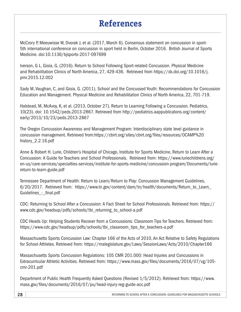### **References**

McCrory P, Meeuwisse W, Dvorak J, et al. (2017, March 6). Consensus statement on concussion in sport-5th international conference on concussion in sport held in Berlin, October 2016. British Journal of Sports Medicine. doi:10.1136/bjsports-2017-097699

Iverson, G L, Gioia, G, (2016). Return to School Following Sport-related Concussion. Physical Medicine and Rehabilitation Clinics of North America, 27, 429-436. Retrieved from https://dx.doi.org/10.1016/j. pmr.2015.12.002

Sady M, Vaughan, C, and Gioia, G. (2011). School and the Concussed Youth: Recommendations for Concussion Education and Management. Physical Medicine and Rehabilitation Clinics of North America, 22, 701-719.

Halstead, M, McAvoy, K, et al. (2013, October 27). Return to Learning Following a Concussion. Pediatrics, 10(23). doi: 10.1542/peds.2013-2867. Retrieved from http://pediatrics.aappublicatons.org/content/ early/2013/10/23/peds.2013-2867

The Oregon Concussion Awareness and Management Program: Interdisciplinary state level guidance in concussion management. Retrieved from:https://cbirt.org/sites/cbirt.org/files/resources/OCAMP%20 history\_2.2.16.pdf

Anne & Robert H. Lurie, Children's Hospital of Chicago, Institute for Sports Medicine, Return to Learn After a Concussion: A Guide for Teachers and School Professionals. Retrieved from: https://www.luriechildrens.org/ en-us/care-services/specialties-services/institute-for-sports-medicine/concussion-program/Documents/luriereturn-to-learn-guide.pdf

Tennessee Department of Health: Return to Learn/Return to Play: Concussion Management Guidelines, 6/20/2017. Retrieved from: https://www.tn.gov/content/dam/tn/health/documents/Return\_to\_Learn\_ Guidelines\_-\_final.pdf

CDC: Returning to School After a Concussion: A Fact Sheet for School Professionals. Retrieved from: https:// www.cdc.gov/headsup/pdfs/schools/tbi\_returning\_to\_school-a.pdf

CDC Heads Up: Helping Students Recover from a Concussions: Classroom Tips for Teachers. Retrieved from: https://www.cdc.gov/headsup/pdfs/schools/tbi\_classroom\_tips\_for\_teachers-a.pdf

Massachusetts Sports Concussion Law: Chapter 166 of the Acts of 2010, An Act Relative to Safety Regulations for School Athletes. Retrieved from: https://malegislature.gov/Laws/SessionLaws/Acts/2010/Chapter166

Massachusetts Sports Concussion Regulations: 105 CMR 201.000: Head Injuries and Concussions in Extracurricular Athletic Activities. Retrieved from: https://www.mass.gov/files/documents/2016/07/vg/105 cmr-201.pdf

Department of Public Health Frequently Asked Questions (Revised 1/5/2012). Retrieved from: https://www. mass.gov/files/documents/2016/07/pu/head-injury-reg-guide-acc.pdf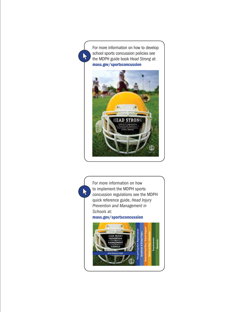For more information on how to develop school sports concussion policies see the MDPH guide book *Head Strong* at: mass.gov/sportsconcussion

 $\sum_{i=1}^n$ 



For more information on how to implement the MDPH sports  $\sum_{i=1}^n$ concussion regulations see the MDPH quick reference guide, *Head Injury Prevention and Management in Schools* at: mass.gov/sportsconcussion**Removal from Play / School Support Pre-participation Requirements Symptoms & Danger Signs Return to Play / Clearance HEAD INJURY PREVENTION Requirements Resources AND MANAGEMENT IN SCHOOLS** Quick Reference Guide